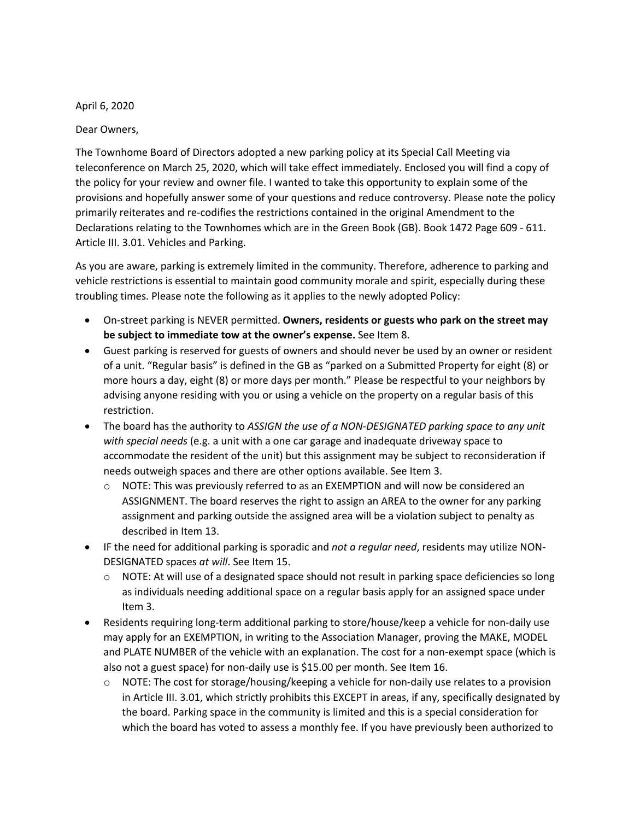April 6, 2020

Dear Owners,

The Townhome Board of Directors adopted a new parking policy at its Special Call Meeting via teleconference on March 25, 2020, which will take effect immediately. Enclosed you will find a copy of the policy for your review and owner file. I wanted to take this opportunity to explain some of the provisions and hopefully answer some of your questions and reduce controversy. Please note the policy primarily reiterates and re-codifies the restrictions contained in the original Amendment to the Declarations relating to the Townhomes which are in the Green Book (GB). Book 1472 Page 609 - 611. Article III. 3.01. Vehicles and Parking.

As you are aware, parking is extremely limited in the community. Therefore, adherence to parking and vehicle restrictions is essential to maintain good community morale and spirit, especially during these troubling times. Please note the following as it applies to the newly adopted Policy:

- On-street parking is NEVER permitted. **Owners, residents or guests who park on the street may be subject to immediate tow at the owner's expense.** See Item 8.
- Guest parking is reserved for guests of owners and should never be used by an owner or resident of a unit. "Regular basis" is defined in the GB as "parked on a Submitted Property for eight (8) or more hours a day, eight (8) or more days per month." Please be respectful to your neighbors by advising anyone residing with you or using a vehicle on the property on a regular basis of this restriction.
- The board has the authority to *ASSIGN the use of a NON-DESIGNATED parking space to any unit with special needs* (e.g. a unit with a one car garage and inadequate driveway space to accommodate the resident of the unit) but this assignment may be subject to reconsideration if needs outweigh spaces and there are other options available. See Item 3.
	- o NOTE: This was previously referred to as an EXEMPTION and will now be considered an ASSIGNMENT. The board reserves the right to assign an AREA to the owner for any parking assignment and parking outside the assigned area will be a violation subject to penalty as described in Item 13.
- IF the need for additional parking is sporadic and *not a regular need*, residents may utilize NON-DESIGNATED spaces *at will*. See Item 15.
	- $\circ$  NOTE: At will use of a designated space should not result in parking space deficiencies so long as individuals needing additional space on a regular basis apply for an assigned space under Item 3.
- Residents requiring long-term additional parking to store/house/keep a vehicle for non-daily use may apply for an EXEMPTION, in writing to the Association Manager, proving the MAKE, MODEL and PLATE NUMBER of the vehicle with an explanation. The cost for a non-exempt space (which is also not a guest space) for non-daily use is \$15.00 per month. See Item 16.
	- $\circ$  NOTE: The cost for storage/housing/keeping a vehicle for non-daily use relates to a provision in Article III. 3.01, which strictly prohibits this EXCEPT in areas, if any, specifically designated by the board. Parking space in the community is limited and this is a special consideration for which the board has voted to assess a monthly fee. If you have previously been authorized to